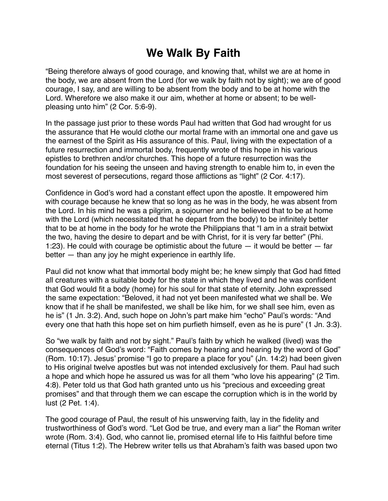## **We Walk By Faith**

"Being therefore always of good courage, and knowing that, whilst we are at home in the body, we are absent from the Lord (for we walk by faith not by sight); we are of good courage, I say, and are willing to be absent from the body and to be at home with the Lord. Wherefore we also make it our aim, whether at home or absent; to be wellpleasing unto him" (2 Cor. 5:6-9).

In the passage just prior to these words Paul had written that God had wrought for us the assurance that He would clothe our mortal frame with an immortal one and gave us the earnest of the Spirit as His assurance of this. Paul, living with the expectation of a future resurrection and immortal body, frequently wrote of this hope in his various epistles to brethren and/or churches. This hope of a future resurrection was the foundation for his seeing the unseen and having strength to enable him to, in even the most severest of persecutions, regard those afflictions as "light" (2 Cor. 4:17).

Confidence in God's word had a constant effect upon the apostle. It empowered him with courage because he knew that so long as he was in the body, he was absent from the Lord. In his mind he was a pilgrim, a sojourner and he believed that to be at home with the Lord (which necessitated that he depart from the body) to be infinitely better that to be at home in the body for he wrote the Philippians that "I am in a strait betwixt the two, having the desire to depart and be with Christ, for it is very far better" (Phi. 1:23). He could with courage be optimistic about the future — it would be better — far better — than any joy he might experience in earthly life.

Paul did not know what that immortal body might be; he knew simply that God had fitted all creatures with a suitable body for the state in which they lived and he was confident that God would fit a body (home) for his soul for that state of eternity. John expressed the same expectation: "Beloved, it had not yet been manifested what we shall be. We know that if he shall be manifested, we shall be like him, for we shall see him, even as he is" (1 Jn. 3:2). And, such hope on John's part make him "echo" Paul's words: "And every one that hath this hope set on him purfieth himself, even as he is pure" (1 Jn. 3:3).

So "we walk by faith and not by sight." Paul's faith by which he walked (lived) was the consequences of God's word: "Faith comes by hearing and hearing by the word of God" (Rom. 10:17). Jesus' promise "I go to prepare a place for you" (Jn. 14:2) had been given to His original twelve apostles but was not intended exclusively for them. Paul had such a hope and which hope he assured us was for all them "who love his appearing" (2 Tim. 4:8). Peter told us that God hath granted unto us his "precious and exceeding great promises" and that through them we can escape the corruption which is in the world by lust (2 Pet. 1:4).

The good courage of Paul, the result of his unswerving faith, lay in the fidelity and trustworthiness of God's word. "Let God be true, and every man a liar" the Roman writer wrote (Rom. 3:4). God, who cannot lie, promised eternal life to His faithful before time eternal (Titus 1:2). The Hebrew writer tells us that Abraham's faith was based upon two